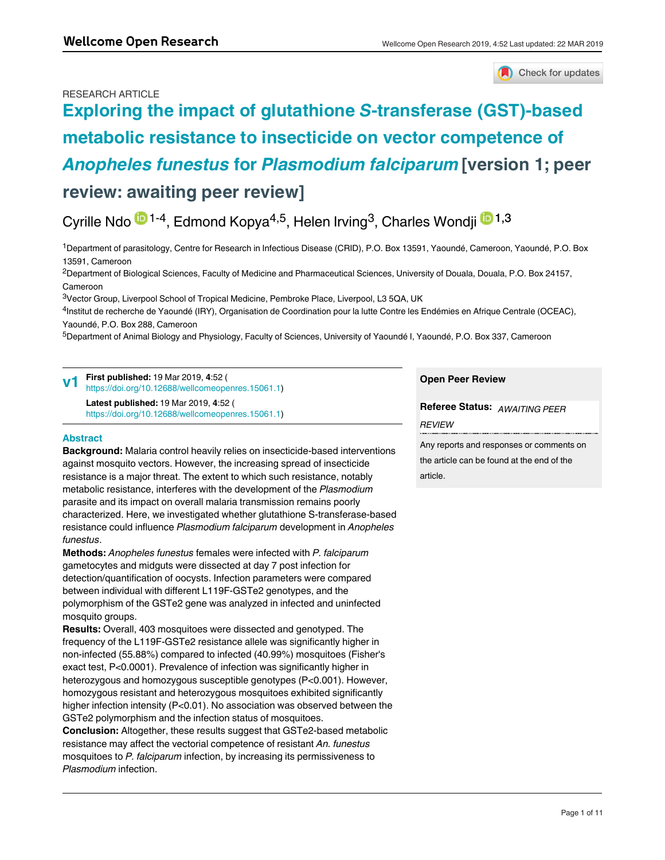# RESEARCH ARTICLE



# **[Exploring the impact of glutathione](https://wellcomeopenresearch.org/articles/4-52/v1)** *S***-transferase (GST)-based [metabolic resistance to insecticide on vector competence of](https://wellcomeopenresearch.org/articles/4-52/v1)**  *Anopheles funestus* **for** *[Plasmodium falciparum](https://wellcomeopenresearch.org/articles/4-52/v1)* **[version 1; peer review: awaiting peer review]**

# Cyrille Ndo <sup>in 1-4</sup>, Edmond Kopya<sup>4,5</sup>, Helen Irving<sup>3</sup>, Charles Wondji <sup>in 1,3</sup>

<sup>1</sup>Department of parasitology, Centre for Research in Infectious Disease (CRID), P.O. Box 13591, Yaoundé, Cameroon, Yaoundé, P.O. Box 13591, Cameroon

 $^2$ Department of Biological Sciences, Faculty of Medicine and Pharmaceutical Sciences, University of Douala, Douala, P.O. Box 24157, Cameroon

<sup>3</sup>Vector Group, Liverpool School of Tropical Medicine, Pembroke Place, Liverpool, L3 5QA, UK

4Institut de recherche de Yaoundé (IRY), Organisation de Coordination pour la lutte Contre les Endémies en Afrique Centrale (OCEAC), Yaoundé, P.O. Box 288, Cameroon

<sup>5</sup>Department of Animal Biology and Physiology, Faculty of Sciences, University of Yaoundé I, Yaoundé, P.O. Box 337, Cameroon

#### **First published:** 19 Mar 2019, **4**:52 ( [https://doi.org/10.12688/wellcomeopenres.15061.1\)](https://doi.org/10.12688/wellcomeopenres.15061.1) **v1**

**Latest published:** 19 Mar 2019, **4**:52 ( [https://doi.org/10.12688/wellcomeopenres.15061.1\)](https://doi.org/10.12688/wellcomeopenres.15061.1)

# **Abstract**

**Keywords** 

**Background:** Malaria control heavily relies on insecticide-based interventions against mosquito vectors. However, the increasing spread of insecticide resistance is a major threat. The extent to which such resistance, notably metabolic resistance, interferes with the development of the *Plasmodium* parasite and its impact on overall malaria transmission remains poorly characterized. Here, we investigated whether glutathione S-transferase-based resistance could influence *Plasmodium falciparum* development in *Anopheles funestus*.

**Methods:** *Anopheles funestus* females were infected with *P. falciparum* gametocytes and midguts were dissected at day 7 post infection for detection/quantification of oocysts. Infection parameters were compared between individual with different L119F-GSTe2 genotypes, and the polymorphism of the GSTe2 gene was analyzed in infected and uninfected mosquito groups.

**Results:** Overall, 403 mosquitoes were dissected and genotyped. The frequency of the L119F-GSTe2 resistance allele was significantly higher in non-infected (55.88%) compared to infected (40.99%) mosquitoes (Fisher's exact test, P<0.0001). Prevalence of infection was significantly higher in heterozygous and homozygous susceptible genotypes (P<0.001). However, homozygous resistant and heterozygous mosquitoes exhibited significantly higher infection intensity (P<0.01). No association was observed between the GSTe2 polymorphism and the infection status of mosquitoes.

**Conclusion:** Altogether, these results suggest that GSTe2-based metabolic resistance may affect the vectorial competence of resistant *An. funestus* mosquitoes to *P. falciparum* infection, by increasing its permissiveness to *Plasmodium* infection.

# **Open Peer Review**

**Referee Status:** *AWAITING PEER REVIEW*

Any reports and responses or comments on the article can be found at the end of the article.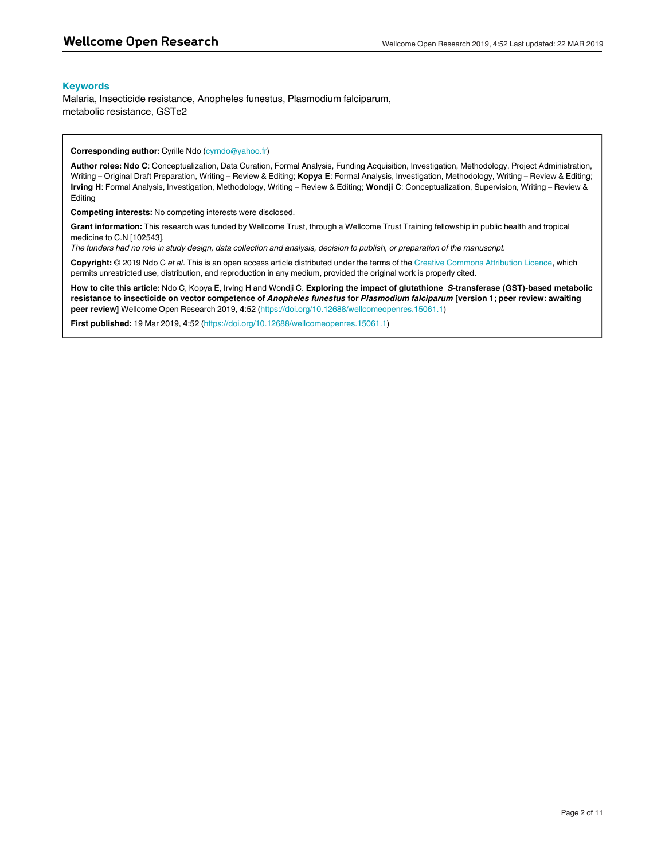## **Keywords**

Malaria, Insecticide resistance, Anopheles funestus, Plasmodium falciparum, metabolic resistance, GSTe2

#### **Corresponding author:** Cyrille Ndo (cyrndo@yahoo.fr)

**Author roles: Ndo C**: Conceptualization, Data Curation, Formal Analysis, Funding Acquisition, Investigation, Methodology, Project Administration, Writing – Original Draft Preparation, Writing – Review & Editing; **Kopya E**: Formal Analysis, Investigation, Methodology, Writing – Review & Editing; **Irving H**: Formal Analysis, Investigation, Methodology, Writing – Review & Editing; **Wondji C**: Conceptualization, Supervision, Writing – Review & Editing

**Competing interests:** No competing interests were disclosed.

**Grant information:** This research was funded by Wellcome Trust, through a Wellcome Trust Training fellowship in public health and tropical medicine to C.N [102543].

*The funders had no role in study design, data collection and analysis, decision to publish, or preparation of the manuscript.*

**Copyright:** © 2019 Ndo C *et al*. This is an open access article distributed under the terms of the [Creative Commons Attribution Licence,](http://creativecommons.org/licenses/by/4.0/) which permits unrestricted use, distribution, and reproduction in any medium, provided the original work is properly cited.

**How to cite this article:** Ndo C, Kopya E, Irving H and Wondji C. **Exploring the impact of glutathione** *S***-transferase (GST)-based metabolic resistance to insecticide on vector competence of** *Anopheles funestus* **for** *Plasmodium falciparum* **[version 1; peer review: awaiting peer review]** Wellcome Open Research 2019, **4**:52 (<https://doi.org/10.12688/wellcomeopenres.15061.1>)

**First published:** 19 Mar 2019, **4**:52 (<https://doi.org/10.12688/wellcomeopenres.15061.1>)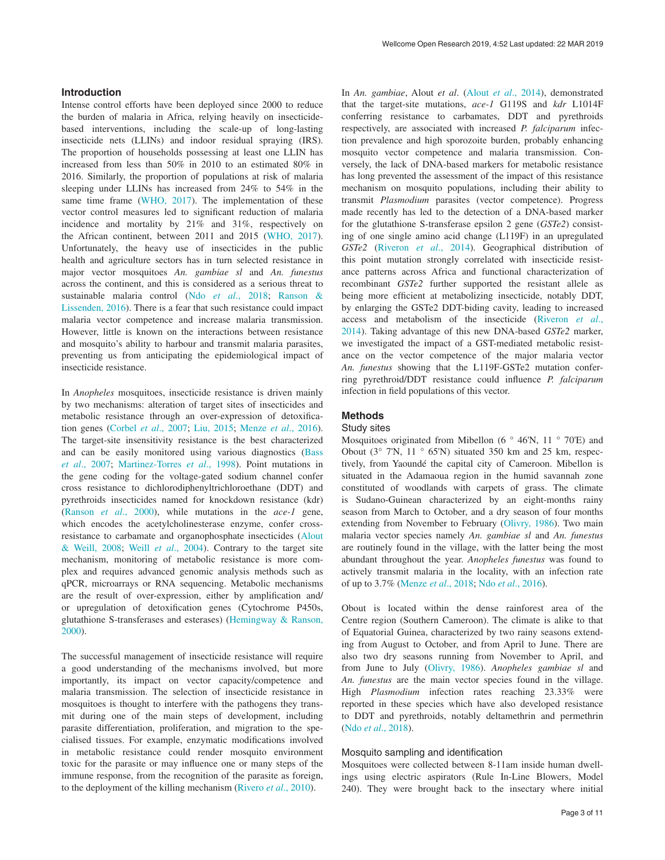# **Introduction**

Intense control efforts have been deployed since 2000 to reduce the burden of malaria in Africa, relying heavily on insecticidebased interventions, including the scale-up of long-lasting insecticide nets (LLINs) and indoor residual spraying (IRS). The proportion of households possessing at least one LLIN has increased from less than 50% in 2010 to an estimated 80% in 2016. Similarly, the proportion of populations at risk of malaria sleeping under LLINs has increased from 24% to 54% in the same time frame ([WHO, 2017](#page-10-0)). The implementation of these vector control measures led to significant reduction of malaria incidence and mortality by 21% and 31%, respectively on the African continent, between 2011 and 2015 ([WHO, 2017](#page-10-0)). Unfortunately, the heavy use of insecticides in the public health and agriculture sectors has in turn selected resistance in major vector mosquitoes *An. gambiae sl* and *An. funestus* across the continent, and this is considered as a serious threat to sustainable malaria control (Ndo *et al*[., 2018;](#page-9-0) [Ranson &](#page-9-0)  [Lissenden, 2016\)](#page-9-0). There is a fear that such resistance could impact malaria vector competence and increase malaria transmission. However, little is known on the interactions between resistance and mosquito's ability to harbour and transmit malaria parasites, preventing us from anticipating the epidemiological impact of insecticide resistance.

In *Anopheles* mosquitoes, insecticide resistance is driven mainly by two mechanisms: alteration of target sites of insecticides and metabolic resistance through an over-expression of detoxification genes [\(Corbel](#page-9-0) *et al*., 2007; [Liu, 2015](#page-9-0); [Menze](#page-9-0) *et al*., 2016). The target-site insensitivity resistance is the best characterized and can be easily monitored using various diagnostics ([Bass](#page-9-0)  *et al*[., 2007;](#page-9-0) [Martinez-Torres](#page-9-0) *et al*., 1998). Point mutations in the gene coding for the voltage-gated sodium channel confer cross resistance to dichlorodiphenyltrichloroethane (DDT) and pyrethroids insecticides named for knockdown resistance (kdr) (Ranson *et al*[., 2000\)](#page-9-0), while mutations in the *ace-1* gene, which encodes the acetylcholinesterase enzyme, confer crossresistance to carbamate and organophosphate insecticides [\(Alout](#page-9-0)  [& Weill, 2008;](#page-9-0) Weill *et al*[., 2004](#page-10-0)). Contrary to the target site mechanism, monitoring of metabolic resistance is more complex and requires advanced genomic analysis methods such as qPCR, microarrays or RNA sequencing. Metabolic mechanisms are the result of over-expression, either by amplification and/ or upregulation of detoxification genes (Cytochrome P450s, glutathione S-transferases and esterases) [\(Hemingway & Ranson,](#page-9-0)  [2000\)](#page-9-0).

The successful management of insecticide resistance will require a good understanding of the mechanisms involved, but more importantly, its impact on vector capacity/competence and malaria transmission. The selection of insecticide resistance in mosquitoes is thought to interfere with the pathogens they transmit during one of the main steps of development, including parasite differentiation, proliferation, and migration to the specialised tissues. For example, enzymatic modifications involved in metabolic resistance could render mosquito environment toxic for the parasite or may influence one or many steps of the immune response, from the recognition of the parasite as foreign, to the deployment of the killing mechanism ([Rivero](#page-10-0) *et al*., 2010).

In *An. gambiae*, Alout *et al*. (Alout *et al*[., 2014\)](#page-9-0), demonstrated that the target-site mutations, *ace-1* G119S and *kdr* L1014F conferring resistance to carbamates, DDT and pyrethroids respectively, are associated with increased *P. falciparum* infection prevalence and high sporozoite burden, probably enhancing mosquito vector competence and malaria transmission. Conversely, the lack of DNA-based markers for metabolic resistance has long prevented the assessment of the impact of this resistance mechanism on mosquito populations, including their ability to transmit *Plasmodium* parasites (vector competence). Progress made recently has led to the detection of a DNA-based marker for the glutathione S-transferase epsilon 2 gene (*GSTe2*) consisting of one single amino acid change (L119F) in an upregulated *GSTe2* [\(Riveron](#page-10-0) *et al*., 2014). Geographical distribution of this point mutation strongly correlated with insecticide resistance patterns across Africa and functional characterization of recombinant *GSTe2* further supported the resistant allele as being more efficient at metabolizing insecticide, notably DDT, by enlarging the GSTe2 DDT-biding cavity, leading to increased access and metabolism of the insecticide ([Riveron](#page-10-0) *et al*., [2014\)](#page-10-0). Taking advantage of this new DNA-based *GSTe2* marker, we investigated the impact of a GST-mediated metabolic resistance on the vector competence of the major malaria vector *An. funestus* showing that the L119F-GSTe2 mutation conferring pyrethroid/DDT resistance could influence *P. falciparum* infection in field populations of this vector.

# **Methods**

# Study sites

Mosquitoes originated from Mibellon (6 $\degree$  46'N, 11 $\degree$  70'E) and Obout ( $3^{\circ}$  7'N,  $11^{\circ}$  65'N) situated 350 km and 25 km, respectively, from Yaoundé the capital city of Cameroon. Mibellon is situated in the Adamaoua region in the humid savannah zone constituted of woodlands with carpets of grass. The climate is Sudano-Guinean characterized by an eight-months rainy season from March to October, and a dry season of four months extending from November to February [\(Olivry, 1986](#page-9-0)). Two main malaria vector species namely *An. gambiae sl* and *An. funestus* are routinely found in the village, with the latter being the most abundant throughout the year. *Anopheles funestus* was found to actively transmit malaria in the locality, with an infection rate of up to 3.7% (Menze *et al*[., 2018; Ndo](#page-9-0) *et al*., 2016).

Obout is located within the dense rainforest area of the Centre region (Southern Cameroon). The climate is alike to that of Equatorial Guinea, characterized by two rainy seasons extending from August to October, and from April to June. There are also two dry seasons running from November to April, and from June to July [\(Olivry, 1986](#page-9-0)). *Anopheles gambiae sl* and *An. funestus* are the main vector species found in the village. High *Plasmodium* infection rates reaching 23.33% were reported in these species which have also developed resistance to DDT and pyrethroids, notably deltamethrin and permethrin (Ndo *et al*[., 2018\)](#page-9-0).

# Mosquito sampling and identification

Mosquitoes were collected between 8-11am inside human dwellings using electric aspirators (Rule In-Line Blowers, Model 240). They were brought back to the insectary where initial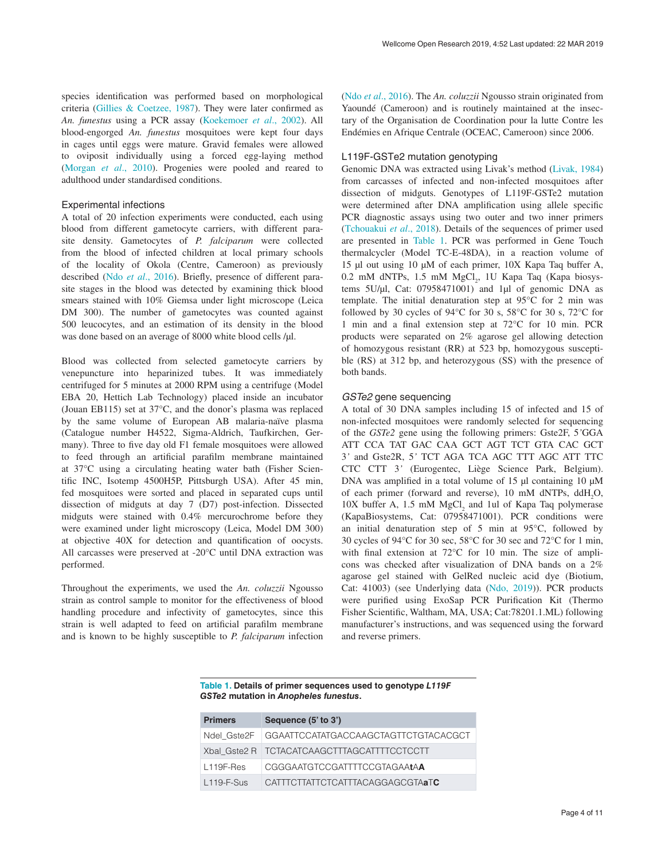species identification was performed based on morphological criteria ([Gillies & Coetzee, 1987](#page-9-0)). They were later confirmed as *An. funestus* using a PCR assay ([Koekemoer](#page-9-0) *et al*., 2002). All blood-engorged *An. funestus* mosquitoes were kept four days in cages until eggs were mature. Gravid females were allowed to oviposit individually using a forced egg-laying method ([Morgan](#page-9-0) *et al*., 2010). Progenies were pooled and reared to adulthood under standardised conditions.

#### Experimental infections

A total of 20 infection experiments were conducted, each using blood from different gametocyte carriers, with different parasite density. Gametocytes of *P. falciparum* were collected from the blood of infected children at local primary schools of the locality of Okola (Centre, Cameroon) as previously described (Ndo *et al*[., 2016\)](#page-9-0). Briefly, presence of different parasite stages in the blood was detected by examining thick blood smears stained with 10% Giemsa under light microscope (Leica DM 300). The number of gametocytes was counted against 500 leucocytes, and an estimation of its density in the blood was done based on an average of 8000 white blood cells /µl.

Blood was collected from selected gametocyte carriers by venepuncture into heparinized tubes. It was immediately centrifuged for 5 minutes at 2000 RPM using a centrifuge (Model EBA 20, Hettich Lab Technology) placed inside an incubator (Jouan EB115) set at 37°C, and the donor's plasma was replaced by the same volume of European AB malaria-naïve plasma (Catalogue number H4522, Sigma-Aldrich, Taufkirchen, Germany). Three to five day old F1 female mosquitoes were allowed to feed through an artificial parafilm membrane maintained at 37°C using a circulating heating water bath (Fisher Scientific INC, Isotemp 4500H5P, Pittsburgh USA). After 45 min, fed mosquitoes were sorted and placed in separated cups until dissection of midguts at day 7 (D7) post-infection. Dissected midguts were stained with 0.4% mercurochrome before they were examined under light microscopy (Leica, Model DM 300) at objective 40X for detection and quantification of oocysts. All carcasses were preserved at -20°C until DNA extraction was performed.

Throughout the experiments, we used the *An. coluzzii* Ngousso strain as control sample to monitor for the effectiveness of blood handling procedure and infectivity of gametocytes, since this strain is well adapted to feed on artificial parafilm membrane and is known to be highly susceptible to *P. falciparum* infection

(Ndo *et al*[., 2016\)](#page-9-0). The *An. coluzzii* Ngousso strain originated from Yaoundé (Cameroon) and is routinely maintained at the insectary of the Organisation de Coordination pour la lutte Contre les Endémies en Afrique Centrale (OCEAC, Cameroon) since 2006.

#### L119F-GSTe2 mutation genotyping

Genomic DNA was extracted using Livak's method [\(Livak, 1984\)](#page-9-0) from carcasses of infected and non-infected mosquitoes after dissection of midguts. Genotypes of L119F-GSTe2 mutation were determined after DNA amplification using allele specific PCR diagnostic assays using two outer and two inner primers ([Tchouakui](#page-10-0) *et al*., 2018). Details of the sequences of primer used are presented in Table 1. PCR was performed in Gene Touch thermalcycler (Model TC-E-48DA), in a reaction volume of 15 µl out using 10 µM of each primer, 10X Kapa Taq buffer A, 0.2 mM dNTPs, 1.5 mM MgCl<sub>2</sub>, 1U Kapa Taq (Kapa biosystems 5U/µl, Cat: 07958471001) and 1µl of genomic DNA as template. The initial denaturation step at 95°C for 2 min was followed by 30 cycles of 94°C for 30 s, 58°C for 30 s, 72°C for 1 min and a final extension step at 72°C for 10 min. PCR products were separated on 2% agarose gel allowing detection of homozygous resistant (RR) at 523 bp, homozygous susceptible (RS) at 312 bp, and heterozygous (SS) with the presence of both bands.

#### *GSTe2* gene sequencing

A total of 30 DNA samples including 15 of infected and 15 of non-infected mosquitoes were randomly selected for sequencing of the *GSTe2* gene using the following primers: Gste2F, 5*'*GGA ATT CCA TAT GAC CAA GCT AGT TCT GTA CAC GCT 3*'* and Gste2R, 5*'* TCT AGA TCA AGC TTT AGC ATT TTC CTC CTT 3*'* (Eurogentec, Liège Science Park, Belgium). DNA was amplified in a total volume of 15 µl containing 10 µM of each primer (forward and reverse), 10 mM dNTPs, ddH<sub>2</sub>O,  $10X$  buffer A, 1.5 mM  $MgCl<sub>2</sub>$  and 1ul of Kapa Taq polymerase (KapaBiosystems, Cat: 07958471001). PCR conditions were an initial denaturation step of 5 min at 95°C, followed by 30 cycles of 94°C for 30 sec, 58°C for 30 sec and 72°C for 1 min, with final extension at 72°C for 10 min. The size of amplicons was checked after visualization of DNA bands on a 2% agarose gel stained with GelRed nucleic acid dye (Biotium, Cat: 41003) (see Underlying data [\(Ndo, 2019\)](#page-9-0)). PCR products were purified using ExoSap PCR Purification Kit (Thermo Fisher Scientific, Waltham, MA, USA; Cat:78201.1.ML) following manufacturer's instructions, and was sequenced using the forward and reverse primers.

#### **Table 1. Details of primer sequences used to genotype** *L119F GSTe2* **mutation in** *Anopheles funestus***.**

| <b>Primers</b> | Sequence (5' to 3')                                |
|----------------|----------------------------------------------------|
|                | Ndel_Gste2F   GGAATTCCATATGACCAAGCTAGTTCTGTACACGCT |
|                | Xbal Gste2 R   TCTACATCAAGCTTTAGCATTTTCCTCCTT      |
| $L119F-Res$    | CGGGAATGTCCGATTTTCCGTAGAAtAA                       |
| $L119-F-Sus$   | CATTTCTTATTCTCATTTACAGGAGCGTAaTC                   |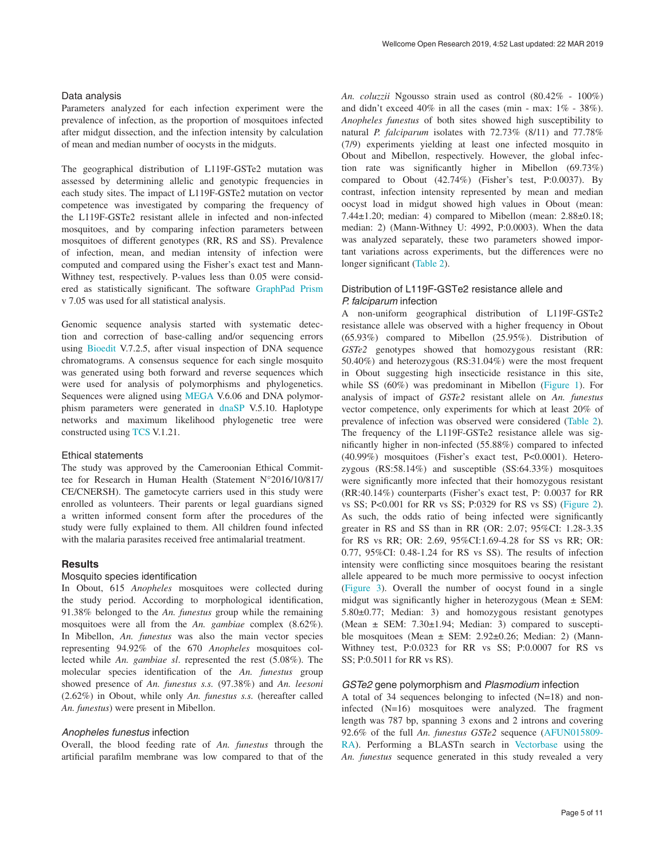Parameters analyzed for each infection experiment were the prevalence of infection, as the proportion of mosquitoes infected after midgut dissection, and the infection intensity by calculation of mean and median number of oocysts in the midguts.

The geographical distribution of L119F-GSTe2 mutation was assessed by determining allelic and genotypic frequencies in each study sites. The impact of L119F-GSTe2 mutation on vector competence was investigated by comparing the frequency of the L119F-GSTe2 resistant allele in infected and non-infected mosquitoes, and by comparing infection parameters between mosquitoes of different genotypes (RR, RS and SS). Prevalence of infection, mean, and median intensity of infection were computed and compared using the Fisher's exact test and Mann-Withney test, respectively. P-values less than 0.05 were considered as statistically significant. The software [GraphPad Prism](https://www.graphpad.com/scientific-software/prism/) v 7.05 was used for all statistical analysis.

Genomic sequence analysis started with systematic detection and correction of base-calling and/or sequencing errors using [Bioedit](http://www.mbio.ncsu.edu/BioEdit/bioedit.html) V.7.2.5, after visual inspection of DNA sequence chromatograms. A consensus sequence for each single mosquito was generated using both forward and reverse sequences which were used for analysis of polymorphisms and phylogenetics. Sequences were aligned using [MEGA](https://www.megasoftware.net/) V.6.06 and DNA polymorphism parameters were generated in [dnaSP](http://www.ub.edu/dnasp/) V.5.10. Haplotype networks and maximum likelihood phylogenetic tree were constructed using [TCS](http://darwin.uvigo.es/software/tcs.html) V.1.21.

#### Ethical statements

The study was approved by the Cameroonian Ethical Committee for Research in Human Health (Statement N°2016/10/817/ CE/CNERSH). The gametocyte carriers used in this study were enrolled as volunteers. Their parents or legal guardians signed a written informed consent form after the procedures of the study were fully explained to them. All children found infected with the malaria parasites received free antimalarial treatment.

#### **Results**

#### Mosquito species identification

In Obout, 615 *Anopheles* mosquitoes were collected during the study period. According to morphological identification, 91.38% belonged to the *An. funestus* group while the remaining mosquitoes were all from the *An. gambiae* complex (8.62%). In Mibellon, *An. funestus* was also the main vector species representing 94.92% of the 670 *Anopheles* mosquitoes collected while *An. gambiae sl*. represented the rest (5.08%). The molecular species identification of the *An. funestus* group showed presence of *An. funestus s.s.* (97.38%) and *An. leesoni* (2.62%) in Obout, while only *An. funestus s.s.* (hereafter called *An. funestus*) were present in Mibellon.

#### *Anopheles funestus* infection

Overall, the blood feeding rate of *An. funestus* through the artificial parafilm membrane was low compared to that of the *An. coluzzii* Ngousso strain used as control (80.42% - 100%) and didn't exceed 40% in all the cases (min - max: 1% - 38%). *Anopheles funestus* of both sites showed high susceptibility to natural *P. falciparum* isolates with 72.73% (8/11) and 77.78% (7/9) experiments yielding at least one infected mosquito in Obout and Mibellon, respectively. However, the global infection rate was significantly higher in Mibellon (69.73%) compared to Obout (42.74%) (Fisher's test, P:0.0037). By contrast, infection intensity represented by mean and median oocyst load in midgut showed high values in Obout (mean: 7.44±1.20; median: 4) compared to Mibellon (mean: 2.88±0.18; median: 2) (Mann-Withney U: 4992, P:0.0003). When the data was analyzed separately, these two parameters showed important variations across experiments, but the differences were no longer significant ([Table 2](#page-5-0)).

# Distribution of L119F-GSTe2 resistance allele and *P. falciparum* infection

A non-uniform geographical distribution of L119F-GSTe2 resistance allele was observed with a higher frequency in Obout (65.93%) compared to Mibellon (25.95%). Distribution of *GSTe2* genotypes showed that homozygous resistant (RR: 50.40%) and heterozygous (RS:31.04%) were the most frequent in Obout suggesting high insecticide resistance in this site, while SS (60%) was predominant in Mibellon ([Figure 1](#page-5-0)). For analysis of impact of *GSTe2* resistant allele on *An. funestus* vector competence, only experiments for which at least 20% of prevalence of infection was observed were considered ([Table 2](#page-5-0)). The frequency of the L119F-GSTe2 resistance allele was significantly higher in non-infected (55.88%) compared to infected (40.99%) mosquitoes (Fisher's exact test, P<0.0001). Heterozygous (RS:58.14%) and susceptible (SS:64.33%) mosquitoes were significantly more infected that their homozygous resistant (RR:40.14%) counterparts (Fisher's exact test, P: 0.0037 for RR vs SS; P<0.001 for RR vs SS; P:0329 for RS vs SS) [\(Figure 2](#page-6-0)). As such, the odds ratio of being infected were significantly greater in RS and SS than in RR (OR: 2.07; 95%CI: 1.28-3.35 for RS vs RR; OR: 2.69, 95%CI:1.69-4.28 for SS vs RR; OR: 0.77, 95%CI: 0.48-1.24 for RS vs SS). The results of infection intensity were conflicting since mosquitoes bearing the resistant allele appeared to be much more permissive to oocyst infection ([Figure 3](#page-6-0)). Overall the number of oocyst found in a single midgut was significantly higher in heterozygous (Mean ± SEM: 5.80±0.77; Median: 3) and homozygous resistant genotypes (Mean ± SEM: 7.30±1.94; Median: 3) compared to susceptible mosquitoes (Mean  $\pm$  SEM: 2.92 $\pm$ 0.26; Median: 2) (Mann-Withney test, P:0.0323 for RR vs SS; P:0.0007 for RS vs SS; P:0.5011 for RR vs RS).

#### *GSTe2* gene polymorphism and *Plasmodium* infection

A total of 34 sequences belonging to infected (N=18) and noninfected (N=16) mosquitoes were analyzed. The fragment length was 787 bp, spanning 3 exons and 2 introns and covering 92.6% of the full *An. funestus GSTe2* sequence [\(AFUN015809-](https://www.vectorbase.org/Anopheles_funestus/Gene/Sequence?g=AFUN015809;r=KB669036:102184-103176;t=AFUN015809-RA) [RA](https://www.vectorbase.org/Anopheles_funestus/Gene/Sequence?g=AFUN015809;r=KB669036:102184-103176;t=AFUN015809-RA)). Performing a BLASTn search in [Vectorbase](https://www.vectorbase.org/) using the *An. funestus* sequence generated in this study revealed a very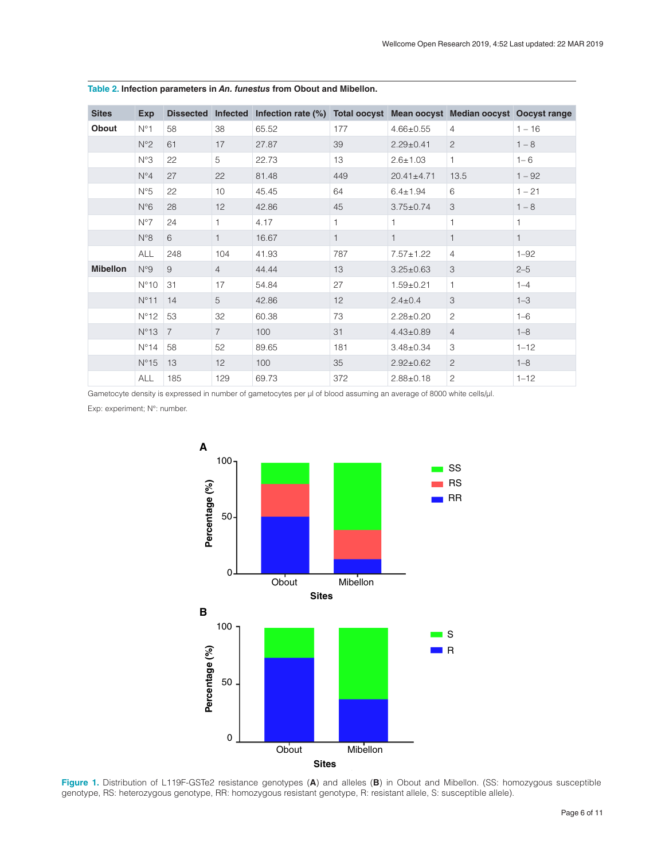| <b>Sites</b>    | <b>Exp</b>    | <b>Dissected</b> | <b>Infected</b> | Infection rate (%) Total oocyst Mean oocyst Median oocyst Oocyst range |              |                  |                |              |
|-----------------|---------------|------------------|-----------------|------------------------------------------------------------------------|--------------|------------------|----------------|--------------|
| Obout           | $N^{\circ}1$  | 58               | 38              | 65.52                                                                  | 177          | $4.66 \pm 0.55$  | $\overline{4}$ | $1 - 16$     |
|                 | $N^{\circ}2$  | 61               | 17              | 27.87                                                                  | 39           | $2.29 \pm 0.41$  | $\overline{c}$ | $1 - 8$      |
|                 | N°3           | 22               | 5               | 22.73                                                                  | 13           | $2.6 \pm 1.03$   | $\mathbf{1}$   | $1 - 6$      |
|                 | $N^{\circ}4$  | 27               | 22              | 81.48                                                                  | 449          | $20.41 \pm 4.71$ | 13.5           | $1 - 92$     |
|                 | N°5           | 22               | 10              | 45.45                                                                  | 64           | $6.4 \pm 1.94$   | 6              | $1 - 21$     |
|                 | $N^{\circ}6$  | 28               | 12              | 42.86                                                                  | 45           | $3.75 \pm 0.74$  | 3              | $1 - 8$      |
|                 | $N^{\circ}7$  | 24               | 1.              | 4.17                                                                   | 1            |                  | 1              | 1            |
|                 | $N^{\circ}8$  | 6                | 1               | 16.67                                                                  | $\mathbf{1}$ | 1                | $\mathbf{1}$   | $\mathbf{1}$ |
|                 | <b>ALL</b>    | 248              | 104             | 41.93                                                                  | 787          | $7.57 \pm 1.22$  | 4              | $1 - 92$     |
| <b>Mibellon</b> | N°9           | 9                | $\overline{4}$  | 44.44                                                                  | 13           | $3.25 \pm 0.63$  | 3              | $2 - 5$      |
|                 | $N^{\circ}10$ | 31               | 17              | 54.84                                                                  | 27           | $1.59 + 0.21$    | $\mathbf{1}$   | $1 - 4$      |
|                 | $N^{\circ}11$ | 14               | 5               | 42.86                                                                  | 12           | $2.4 \pm 0.4$    | 3              | $1 - 3$      |
|                 | $N^{\circ}12$ | 53               | 32              | 60.38                                                                  | 73           | $2.28 \pm 0.20$  | 2              | $1 - 6$      |
|                 | $N^{\circ}13$ | $\overline{7}$   | $\overline{7}$  | 100                                                                    | 31           | $4.43 \pm 0.89$  | $\overline{4}$ | $1 - 8$      |
|                 | $N^{\circ}14$ | 58               | 52              | 89.65                                                                  | 181          | $3.48 \pm 0.34$  | 3              | $1 - 12$     |
|                 | $N^{\circ}15$ | 13               | 12              | 100                                                                    | 35           | $2.92 \pm 0.62$  | $\mathbf{2}$   | $1 - 8$      |
|                 | ALL           | 185              | 129             | 69.73                                                                  | 372          | $2.88 \pm 0.18$  | $\overline{c}$ | $1 - 12$     |

<span id="page-5-0"></span>**Table 2. Infection parameters in** *An. funestus* **from Obout and Mibellon.**

Gametocyte density is expressed in number of gametocytes per µl of blood assuming an average of 8000 white cells/µl.

Exp: experiment; N°: number.



**Figure 1.** Distribution of L119F-GSTe2 resistance genotypes (**A**) and alleles (**B**) in Obout and Mibellon. (SS: homozygous susceptible genotype, RS: heterozygous genotype, RR: homozygous resistant genotype, R: resistant allele, S: susceptible allele).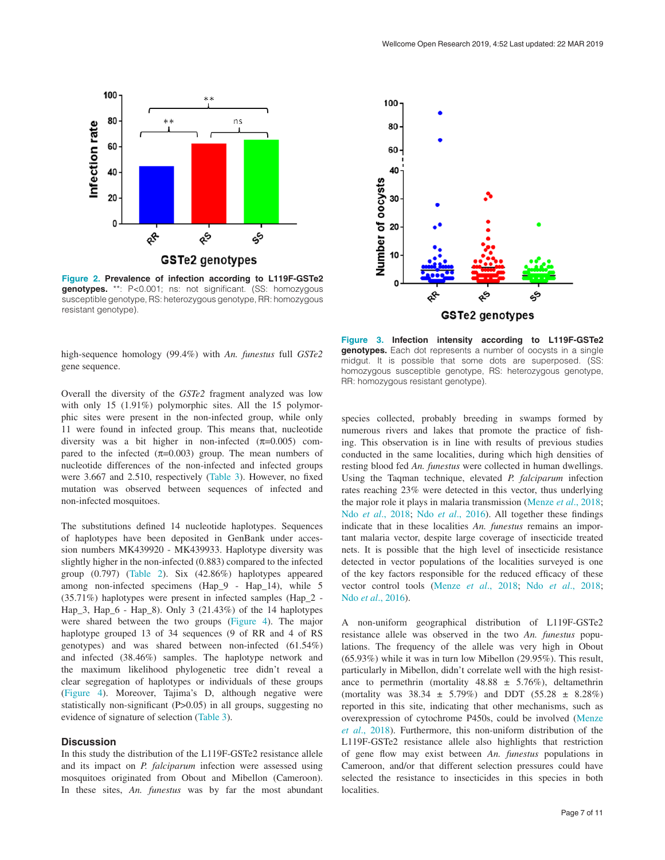<span id="page-6-0"></span>

**Figure 2. Prevalence of infection according to L119F-GSTe2 genotypes.** \*\*: P<0.001; ns: not significant. (SS: homozygous susceptible genotype, RS: heterozygous genotype, RR: homozygous resistant genotype).



high-sequence homology (99.4%) with *An. funestus* full *GSTe2* gene sequence.

Overall the diversity of the *GSTe2* fragment analyzed was low with only 15 (1.91%) polymorphic sites. All the 15 polymorphic sites were present in the non-infected group, while only 11 were found in infected group. This means that, nucleotide diversity was a bit higher in non-infected  $(\pi=0.005)$  compared to the infected  $(\pi=0.003)$  group. The mean numbers of nucleotide differences of the non-infected and infected groups were 3.667 and 2.510, respectively ([Table 3\)](#page-7-0). However, no fixed mutation was observed between sequences of infected and non-infected mosquitoes.

The substitutions defined 14 nucleotide haplotypes. Sequences of haplotypes have been deposited in GenBank under accession numbers MK439920 - MK439933. Haplotype diversity was slightly higher in the non-infected (0.883) compared to the infected group (0.797) [\(Table 2\)](#page-5-0). Six (42.86%) haplotypes appeared among non-infected specimens (Hap\_9 - Hap\_14), while 5 (35.71%) haplotypes were present in infected samples (Hap\_2 - Hap\_3, Hap\_6 - Hap\_8). Only 3 (21.43%) of the 14 haplotypes were shared between the two groups ([Figure 4](#page-7-0)). The major haplotype grouped 13 of 34 sequences (9 of RR and 4 of RS genotypes) and was shared between non-infected (61.54%) and infected (38.46%) samples. The haplotype network and the maximum likelihood phylogenetic tree didn't reveal a clear segregation of haplotypes or individuals of these groups [\(Figure 4](#page-7-0)). Moreover, Tajima's D, although negative were statistically non-significant (P>0.05) in all groups, suggesting no evidence of signature of selection [\(Table 3\)](#page-7-0).

#### **Discussion**

In this study the distribution of the L119F-GSTe2 resistance allele and its impact on *P. falciparum* infection were assessed using mosquitoes originated from Obout and Mibellon (Cameroon). In these sites, *An. funestus* was by far the most abundant

**Figure 3. Infection intensity according to L119F-GSTe2 genotypes.** Each dot represents a number of oocysts in a single midgut. It is possible that some dots are superposed. (SS: homozygous susceptible genotype, RS: heterozygous genotype, RR: homozygous resistant genotype).

species collected, probably breeding in swamps formed by numerous rivers and lakes that promote the practice of fishing. This observation is in line with results of previous studies conducted in the same localities, during which high densities of resting blood fed *An. funestus* were collected in human dwellings. Using the Taqman technique, elevated *P. falciparum* infection rates reaching 23% were detected in this vector, thus underlying the major role it plays in malaria transmission ([Menze](#page-9-0) *et al*., 2018; Ndo *et al*[., 2018; Ndo](#page-9-0) *et al*., 2016). All together these findings indicate that in these localities *An. funestus* remains an important malaria vector, despite large coverage of insecticide treated nets. It is possible that the high level of insecticide resistance detected in vector populations of the localities surveyed is one of the key factors responsible for the reduced efficacy of these vector control tools (Menze *et al*[., 2018;](#page-9-0) Ndo *et al*[., 2018](#page-9-0); Ndo *et al*[., 2016\)](#page-9-0).

A non-uniform geographical distribution of L119F-GSTe2 resistance allele was observed in the two *An. funestus* populations. The frequency of the allele was very high in Obout (65.93%) while it was in turn low Mibellon (29.95%). This result, particularly in Mibellon, didn't correlate well with the high resistance to permethrin (mortality  $48.88 \pm 5.76\%$ ), deltamethrin (mortality was  $38.34 \pm 5.79\%$ ) and DDT  $(55.28 \pm 8.28\%)$ reported in this site, indicating that other mechanisms, such as overexpression of cytochrome P450s, could be involved [\(Menze](#page-9-0)  *et al*[., 2018](#page-9-0)). Furthermore, this non-uniform distribution of the L119F-GSTe2 resistance allele also highlights that restriction of gene flow may exist between *An. funestus* populations in Cameroon, and/or that different selection pressures could have selected the resistance to insecticides in this species in both localities.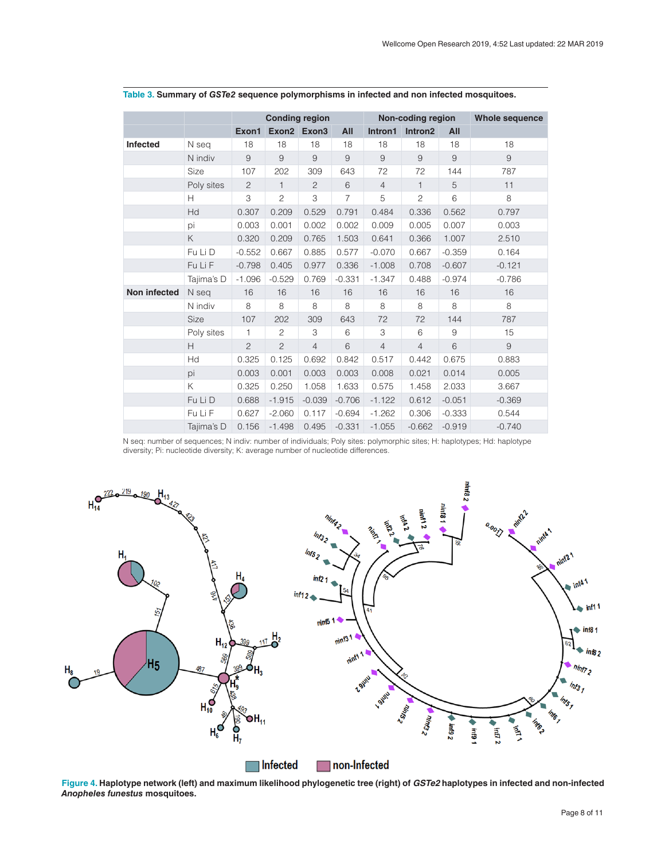|                 |             | <b>Conding region</b> |                |                | Non-coding region |                |                | <b>Whole sequence</b> |          |
|-----------------|-------------|-----------------------|----------------|----------------|-------------------|----------------|----------------|-----------------------|----------|
|                 |             | Exon1                 |                | Exon2 Exon3    | All               | Intron1        | Intron2        | All                   |          |
| <b>Infected</b> | N seg       | 18                    | 18             | 18             | 18                | 18             | 18             | 18                    | 18       |
|                 | N indiv     | $\mathsf 9$           | $\mathsf 9$    | 9              | $\overline{9}$    | 9              | $\mathsf 9$    | $9\,$                 | 9        |
|                 | Size        | 107                   | 202            | 309            | 643               | 72             | 72             | 144                   | 787      |
|                 | Poly sites  | $\mathbf{2}$          | $\mathbf{1}$   | 2              | 6                 | $\overline{4}$ | $\mathbf{1}$   | 5                     | 11       |
|                 | Н           | 3                     | $\overline{2}$ | 3              | $\overline{7}$    | 5              | $\overline{c}$ | 6                     | 8        |
|                 | Hd          | 0.307                 | 0.209          | 0.529          | 0.791             | 0.484          | 0.336          | 0.562                 | 0.797    |
|                 | pi          | 0.003                 | 0.001          | 0.002          | 0.002             | 0.009          | 0.005          | 0.007                 | 0.003    |
|                 | K           | 0.320                 | 0.209          | 0.765          | 1.503             | 0.641          | 0.366          | 1.007                 | 2.510    |
|                 | Fu Li D     | $-0.552$              | 0.667          | 0.885          | 0.577             | $-0.070$       | 0.667          | $-0.359$              | 0.164    |
|                 | Fu Li F     | $-0.798$              | 0.405          | 0.977          | 0.336             | $-1.008$       | 0.708          | $-0.607$              | $-0.121$ |
|                 | Tajima's D  | $-1.096$              | $-0.529$       | 0.769          | $-0.331$          | $-1.347$       | 0.488          | $-0.974$              | $-0.786$ |
| Non infected    | N seg       | 16                    | 16             | 16             | 16                | 16             | 16             | 16                    | 16       |
|                 | N indiv     | 8                     | 8              | 8              | 8                 | 8              | 8              | 8                     | 8        |
|                 | <b>Size</b> | 107                   | 202            | 309            | 643               | 72             | 72             | 144                   | 787      |
|                 | Poly sites  | $\mathbf{1}$          | $\overline{c}$ | 3              | 6                 | 3              | 6              | 9                     | 15       |
|                 | H           | $\overline{c}$        | $\overline{2}$ | $\overline{4}$ | 6                 | $\overline{4}$ | $\overline{4}$ | 6                     | 9        |
|                 | Hd          | 0.325                 | 0.125          | 0.692          | 0.842             | 0.517          | 0.442          | 0.675                 | 0.883    |
|                 | pi          | 0.003                 | 0.001          | 0.003          | 0.003             | 0.008          | 0.021          | 0.014                 | 0.005    |
|                 | K           | 0.325                 | 0.250          | 1.058          | 1.633             | 0.575          | 1.458          | 2.033                 | 3.667    |
|                 | Fu Li D     | 0.688                 | $-1.915$       | $-0.039$       | $-0.706$          | $-1.122$       | 0.612          | $-0.051$              | $-0.369$ |
|                 | Fu Li F     | 0.627                 | $-2.060$       | 0.117          | $-0.694$          | $-1.262$       | 0.306          | $-0.333$              | 0.544    |
|                 | Tajima's D  | 0.156                 | $-1.498$       | 0.495          | $-0.331$          | $-1.055$       | $-0.662$       | $-0.919$              | $-0.740$ |

# <span id="page-7-0"></span>**Table 3. Summary of** *GSTe2* **sequence polymorphisms in infected and non infected mosquitoes.**

N seq: number of sequences; N indiv: number of individuals; Poly sites: polymorphic sites; H: haplotypes; Hd: haplotype diversity; Pi: nucleotide diversity; K: average number of nucleotide differences.



**Figure 4. Haplotype network (left) and maximum likelihood phylogenetic tree (right) of** *GSTe2* **haplotypes in infected and non-infected**  *Anopheles funestus* **mosquitoes.**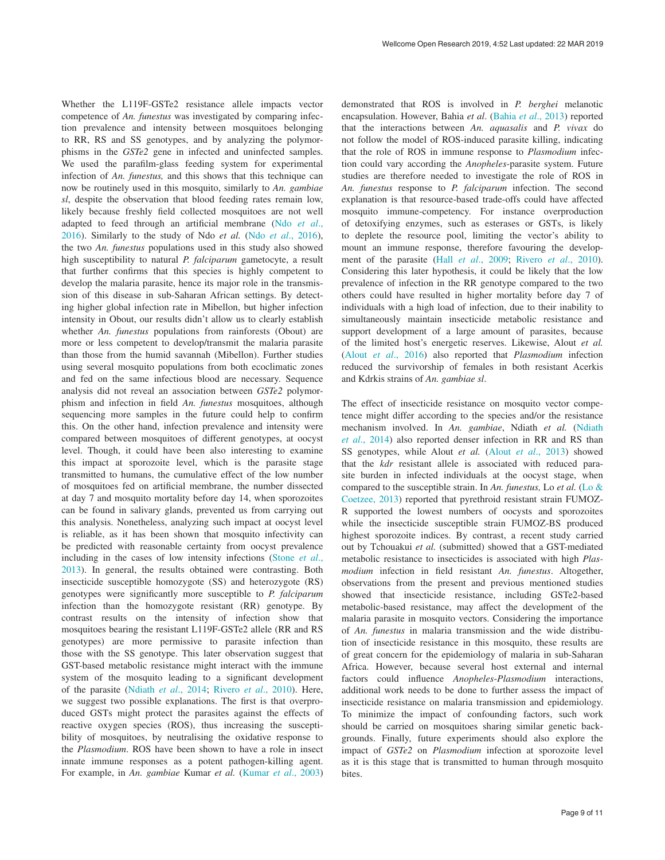Whether the L119F-GSTe2 resistance allele impacts vector competence of *An. funestus* was investigated by comparing infection prevalence and intensity between mosquitoes belonging to RR, RS and SS genotypes, and by analyzing the polymorphisms in the *GSTe2* gene in infected and uninfected samples. We used the parafilm-glass feeding system for experimental infection of *An. funestus,* and this shows that this technique can now be routinely used in this mosquito, similarly to *An. gambiae sl*, despite the observation that blood feeding rates remain low, likely because freshly field collected mosquitoes are not well adapted to feed through an artificial membrane (Ndo *[et al](#page-9-0)*., [2016\)](#page-9-0). Similarly to the study of Ndo *et al.* (Ndo *et al*[., 2016](#page-9-0)), the two *An. funestus* populations used in this study also showed high susceptibility to natural *P. falciparum* gametocyte, a result that further confirms that this species is highly competent to develop the malaria parasite, hence its major role in the transmission of this disease in sub-Saharan African settings. By detecting higher global infection rate in Mibellon, but higher infection intensity in Obout, our results didn't allow us to clearly establish whether *An. funestus* populations from rainforests (Obout) are more or less competent to develop/transmit the malaria parasite than those from the humid savannah (Mibellon). Further studies using several mosquito populations from both ecoclimatic zones and fed on the same infectious blood are necessary. Sequence analysis did not reveal an association between *GSTe2* polymorphism and infection in field *An. funestus* mosquitoes, although sequencing more samples in the future could help to confirm this. On the other hand, infection prevalence and intensity were compared between mosquitoes of different genotypes, at oocyst level. Though, it could have been also interesting to examine this impact at sporozoite level, which is the parasite stage transmitted to humans, the cumulative effect of the low number of mosquitoes fed on artificial membrane, the number dissected at day 7 and mosquito mortality before day 14, when sporozoites can be found in salivary glands, prevented us from carrying out this analysis. Nonetheless, analyzing such impact at oocyst level is reliable, as it has been shown that mosquito infectivity can be predicted with reasonable certainty from oocyst prevalence including in the cases of low intensity infections ([Stone](#page-10-0) *et al*., [2013\)](#page-10-0). In general, the results obtained were contrasting. Both insecticide susceptible homozygote (SS) and heterozygote (RS) genotypes were significantly more susceptible to *P. falciparum* infection than the homozygote resistant (RR) genotype. By contrast results on the intensity of infection show that mosquitoes bearing the resistant L119F-GSTe2 allele (RR and RS genotypes) are more permissive to parasite infection than those with the SS genotype. This later observation suggest that GST-based metabolic resistance might interact with the immune system of the mosquito leading to a significant development of the parasite [\(Ndiath](#page-9-0) *et al*., 2014; Rivero *et al*[., 2010\)](#page-10-0). Here, we suggest two possible explanations. The first is that overproduced GSTs might protect the parasites against the effects of reactive oxygen species (ROS), thus increasing the susceptibility of mosquitoes, by neutralising the oxidative response to the *Plasmodium*. ROS have been shown to have a role in insect innate immune responses as a potent pathogen-killing agent. For example, in *An. gambiae* Kumar *et al.* [\(Kumar](#page-9-0) *et al*., 2003)

demonstrated that ROS is involved in *P. berghei* melanotic encapsulation. However, Bahia *et al*. (Bahia *et al*[., 2013\)](#page-9-0) reported that the interactions between *An. aquasalis* and *P. vivax* do not follow the model of ROS-induced parasite killing, indicating that the role of ROS in immune response to *Plasmodium* infection could vary according the *Anopheles*-parasite system. Future studies are therefore needed to investigate the role of ROS in *An. funestus* response to *P. falciparum* infection. The second explanation is that resource-based trade-offs could have affected mosquito immune-competency. For instance overproduction of detoxifying enzymes, such as esterases or GSTs, is likely to deplete the resource pool, limiting the vector's ability to mount an immune response, therefore favouring the development of the parasite (Hall *et al*[., 2009](#page-9-0); Rivero *et al*[., 2010](#page-10-0)). Considering this later hypothesis, it could be likely that the low prevalence of infection in the RR genotype compared to the two others could have resulted in higher mortality before day 7 of individuals with a high load of infection, due to their inability to simultaneously maintain insecticide metabolic resistance and support development of a large amount of parasites, because of the limited host's energetic reserves. Likewise, Alout *et al.* (Alout *et al*[., 2016](#page-9-0)) also reported that *Plasmodium* infection reduced the survivorship of females in both resistant Acerkis and Kdrkis strains of *An. gambiae sl*.

The effect of insecticide resistance on mosquito vector competence might differ according to the species and/or the resistance mechanism involved. In *An. gambiae*, Ndiath *et al.* [\(Ndiath](#page-9-0)  *et al*[., 2014\)](#page-9-0) also reported denser infection in RR and RS than SS genotypes, while Alout *et al.* (Alout *et al*[., 2013\)](#page-9-0) showed that the *kdr* resistant allele is associated with reduced parasite burden in infected individuals at the oocyst stage, when compared to the susceptible strain. In *An. funestus,* Lo *et al.* [\(Lo &](#page-9-0)  [Coetzee, 2013](#page-9-0)) reported that pyrethroid resistant strain FUMOZ-R supported the lowest numbers of oocysts and sporozoites while the insecticide susceptible strain FUMOZ-BS produced highest sporozoite indices. By contrast, a recent study carried out by Tchouakui *et al.* (submitted) showed that a GST-mediated metabolic resistance to insecticides is associated with high *Plasmodium* infection in field resistant *An. funestus*. Altogether, observations from the present and previous mentioned studies showed that insecticide resistance, including GSTe2-based metabolic-based resistance, may affect the development of the malaria parasite in mosquito vectors. Considering the importance of *An. funestus* in malaria transmission and the wide distribution of insecticide resistance in this mosquito, these results are of great concern for the epidemiology of malaria in sub-Saharan Africa. However, because several host external and internal factors could influence *Anopheles*-*Plasmodium* interactions, additional work needs to be done to further assess the impact of insecticide resistance on malaria transmission and epidemiology. To minimize the impact of confounding factors, such work should be carried on mosquitoes sharing similar genetic backgrounds. Finally, future experiments should also explore the impact of *GSTe2* on *Plasmodium* infection at sporozoite level as it is this stage that is transmitted to human through mosquito bites.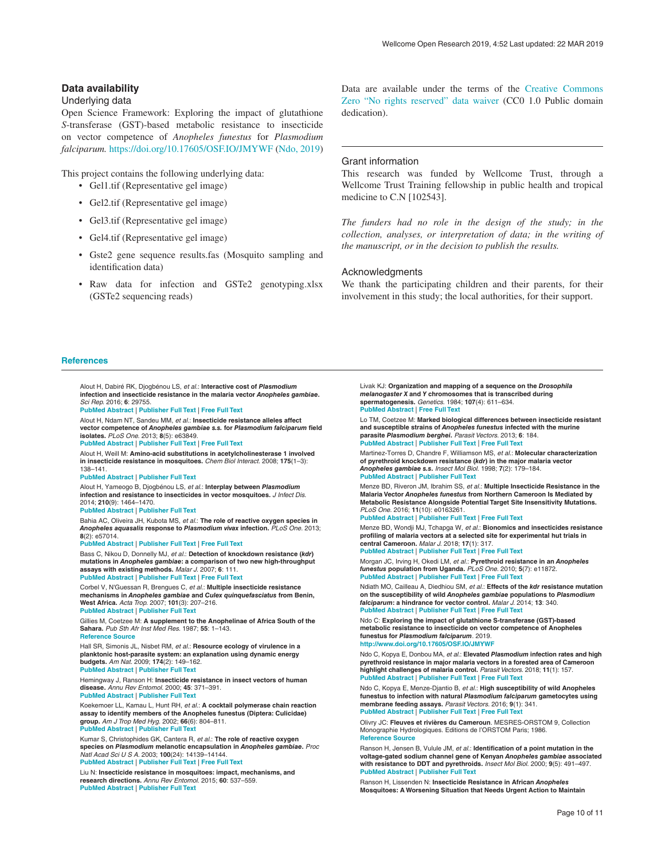#### <span id="page-9-0"></span>**Data availability**

#### Underlying data

Open Science Framework: Exploring the impact of glutathione *S*-transferase (GST)-based metabolic resistance to insecticide on vector competence of *Anopheles funestus* for *Plasmodium falciparum.* [https://doi.org/10.17605/OSF.IO/JMYWF](https://dx.doi.org/10.17605/OSF.IO/JMYWF) (Ndo, 2019)

This project contains the following underlying data:

- Gel1.tif (Representative gel image)
- Gel2.tif (Representative gel image)
- Gel3.tif (Representative gel image)
- Gel4.tif (Representative gel image)
- Gste2 gene sequence results.fas (Mosquito sampling and identification data)
- Raw data for infection and GSTe2 genotyping.xlsx (GSTe2 sequencing reads)

Alout H, Dabiré RK, Djogbénou LS, *et al.*: **Interactive cost of** *Plasmodium*

Data are available under the terms of the [Creative Commons](http://creativecommons.org/publicdomain/zero/1.0/)  [Zero "No rights reserved" data waiver](http://creativecommons.org/publicdomain/zero/1.0/) (CC0 1.0 Public domain dedication).

#### Grant information

This research was funded by Wellcome Trust, through a Wellcome Trust Training fellowship in public health and tropical medicine to C.N [102543].

*The funders had no role in the design of the study; in the collection, analyses, or interpretation of data; in the writing of the manuscript, or in the decision to publish the results.* 

#### Acknowledgments

We thank the participating children and their parents, for their involvement in this study; the local authorities, for their support.

#### **References**

**infection and insecticide resistance in the malaria vector** *Anopheles gambiae***.** *Sci Rep.* 2016; **6**: 29755. **[PubMed Abstract](http://www.ncbi.nlm.nih.gov/pubmed/27432257)** | **[Publisher Full Text](http://dx.doi.org/10.1038/srep29755)** | **[Free Full Text](http://www.ncbi.nlm.nih.gov/pmc/articles/4949420)** Alout H, Ndam NT, Sandeu MM, *et al.*: **Insecticide resistance alleles affect vector competence of** *Anopheles gambiae s.s.* **for** *Plasmodium falciparum* **field isolates.** *PLoS One.* 2013; **8**(5): e63849. **[PubMed Abstract](http://www.ncbi.nlm.nih.gov/pubmed/23704944)** | **[Publisher Full Text](http://dx.doi.org/10.1371/journal.pone.0063849)** | **[Free Full Text](http://www.ncbi.nlm.nih.gov/pmc/articles/3660590)** Alout H, Weill M: **Amino-acid substitutions in acetylcholinesterase 1 involved in insecticide resistance in mosquitoes.** *Chem Biol Interact.* 2008; **175**(1–3): 138–141. **[PubMed Abstract](http://www.ncbi.nlm.nih.gov/pubmed/18468592)** | **[Publisher Full Text](http://dx.doi.org/10.1016/j.cbi.2008.03.018)** Alout H, Yameogo B, Djogbénou LS, *et al.*: **Interplay between** *Plasmodium* **infection and resistance to insecticides in vector mosquitoes.** *J Infect Dis.* 2014; **210**(9): 1464–1470. **[PubMed Abstract](http://www.ncbi.nlm.nih.gov/pubmed/24829465)** | **[Publisher Full Text](http://dx.doi.org/10.1093/infdis/jiu276)** Bahia AC, Oliveira JH, Kubota MS, *et al.*: **The role of reactive oxygen species in**  *Anopheles aquasalis* **response to** *Plasmodium vivax* **infection.** *PLoS One.* 2013; **8**(2): e57014. **[PubMed Abstract](http://www.ncbi.nlm.nih.gov/pubmed/23441231)** | **[Publisher Full Text](http://dx.doi.org/10.1371/journal.pone.0057014)** | **[Free Full Text](http://www.ncbi.nlm.nih.gov/pmc/articles/3575503)** Bass C, Nikou D, Donnelly MJ, *et al.*: **Detection of knockdown resistance (***kdr***) mutations in** *Anopheles gambiae***: a comparison of two new high-throughput assays with existing methods.** *Malar J.* 2007; **6**: 111. **[PubMed Abstract](http://www.ncbi.nlm.nih.gov/pubmed/17697325)** | **[Publisher Full Text](http://dx.doi.org/10.1186/1475-2875-6-111)** | **[Free Full Text](http://www.ncbi.nlm.nih.gov/pmc/articles/1971715)** Corbel V, N'Guessan R, Brengues C, *et al.*: **Multiple insecticide resistance mechanisms in** *Anopheles gambiae* **and** *Culex quinquefasciatus* **from Benin, West Africa.** *Acta Trop.* 2007; **101**(3): 207–216. **[PubMed Abstract](http://www.ncbi.nlm.nih.gov/pubmed/17359927)** | **[Publisher Full Text](http://dx.doi.org/10.1016/j.actatropica.2007.01.005)** Gillies M, Coetzee M: **A supplement to the Anophelinae of Africa South of the Sahara.** *Pub Sth Afr Inst Med Res.* 1987; **55**: 1–143. **[Reference Source](https://www.google.com/url?sa=t&rct=j&q=&esrc=s&source=web&cd=2&cad=rja&uact=8&ved=2ahUKEwiN3Pa9-vvgAhXFgI8KHdNBBdYQFjABegQIBxAC&url=https://www.researchgate.net/file.PostFileLoader.html?id=56fd61ab40485409782ce857&assetKey=AS:345756520206337@1459446186893&usg=AOvVaw3IxkBu_mktaY1rN6ztce4T)** Hall SR, Simonis JL, Nisbet RM, *et al.*: **Resource ecology of virulence in a planktonic host-parasite system: an explanation using dynamic energy budgets.** *Am Nat.* 2009; **174**(2): 149–162. **[PubMed Abstract](http://www.ncbi.nlm.nih.gov/pubmed/19527119)** | **[Publisher Full Text](http://dx.doi.org/10.1086/600086)** Hemingway J, Ranson H: **Insecticide resistance in insect vectors of human disease.** *Annu Rev Entomol.* 2000; **45**: 371–391. **[PubMed Abstract](http://www.ncbi.nlm.nih.gov/pubmed/10761582)** | **[Publisher Full Text](http://dx.doi.org/10.1146/annurev.ento.45.1.371)** Koekemoer LL, Kamau L, Hunt RH, *et al.*: **A cocktail polymerase chain reaction assay to identify members of the Anopheles funestus (Diptera: Culicidae) group.** *Am J Trop Med Hyg.* 2002; **66**(6): 804–811. **[PubMed Abstract](http://www.ncbi.nlm.nih.gov/pubmed/12224596)** | **[Publisher Full Text](http://dx.doi.org/10.4269/ajtmh.2002.66.804)** Kumar S, Christophides GK, Cantera R, *et al.*: **The role of reactive oxygen species on** *Plasmodium* **melanotic encapsulation in** *Anopheles gambiae***.** *Proc Natl Acad Sci U S A.* 2003; **100**(24): 14139–14144. **[PubMed Abstract](http://www.ncbi.nlm.nih.gov/pubmed/14623973)** | **[Publisher Full Text](http://dx.doi.org/10.1073/pnas.2036262100)** | **[Free Full Text](http://www.ncbi.nlm.nih.gov/pmc/articles/283559)** Liu N: **Insecticide resistance in mosquitoes: impact, mechanisms, and research directions.** *Annu Rev Entomol.* 2015; **60**: 537–559. **[PubMed Abstract](http://www.ncbi.nlm.nih.gov/pubmed/25564745)** | **[Publisher Full Text](http://dx.doi.org/10.1146/annurev-ento-010814-020828)**

Livak KJ: **Organization and mapping of a sequence on the** *Drosophila melanogaster X* **and** *Y* **chromosomes that is transcribed during spermatogenesis.** *Genetics.* 1984; **107**(4): 611–634. **[PubMed Abstract](http://www.ncbi.nlm.nih.gov/pubmed/6430749)** | **[Free Full Text](http://www.ncbi.nlm.nih.gov/pmc/articles/1202380)** Lo TM, Coetzee M: **Marked biological differences between insecticide resistant** 

**and susceptible strains of** *Anopheles funestus* **infected with the murine parasite** *Plasmodium berghei***.** *Parasit Vectors.* 2013; **6**: 184. **[PubMed Abstract](http://www.ncbi.nlm.nih.gov/pubmed/23782642)** | **[Publisher Full Text](http://dx.doi.org/10.1186/1756-3305-6-184)** | **[Free Full Text](http://www.ncbi.nlm.nih.gov/pmc/articles/3691588)** Martinez-Torres D, Chandre F, Williamson MS, *et al.*: **Molecular characterization** 

**of pyrethroid knockdown resistance (***kdr***) in the major malaria vector**  *Anopheles gambiae s.s***.** *Insect Mol Biol.* 1998; **7**(2): 179–184. **[PubMed Abstract](http://www.ncbi.nlm.nih.gov/pubmed/9535162)** | **[Publisher Full Text](http://dx.doi.org/10.1046/j.1365-2583.1998.72062.x)**

Menze BD, Riveron JM, Ibrahim SS, *et al.*: **Multiple Insecticide Resistance in the Malaria Vector** *Anopheles funestus* **from Northern Cameroon Is Mediated by Metabolic Resistance Alongside Potential Target Site Insensitivity Mutations.** *PLoS One.* 2016; **11**(10): e0163261.

**[PubMed Abstract](http://www.ncbi.nlm.nih.gov/pubmed/27723825)** | **[Publisher Full Text](http://dx.doi.org/10.1371/journal.pone.0163261)** | **[Free Full Text](http://www.ncbi.nlm.nih.gov/pmc/articles/5056689)** Menze BD, Wondji MJ, Tchapga W, *et al.*: **Bionomics and insecticides resistance profiling of malaria vectors at a selected site for experimental hut trials in central Cameroon.** *Malar J.* 2018; **17**(1): 317.

**[PubMed Abstract](http://www.ncbi.nlm.nih.gov/pubmed/30165863)** | **[Publisher Full Text](http://dx.doi.org/10.1186/s12936-018-2467-2)** | **[Free Full Text](http://www.ncbi.nlm.nih.gov/pmc/articles/6117958)** Morgan JC, Irving H, Okedi LM, *et al.*: **Pyrethroid resistance in an** *Anopheles funestus* **population from Uganda.** *PLoS One.* 2010; **5**(7): e11872. **[PubMed Abstract](http://www.ncbi.nlm.nih.gov/pubmed/20686697)** | **[Publisher Full Text](http://dx.doi.org/10.1371/journal.pone.0011872)** | **[Free Full Text](http://www.ncbi.nlm.nih.gov/pmc/articles/2912372)**

Ndiath MO, Cailleau A, Diedhiou SM, *et al.*: **Effects of the** *kdr* **resistance mutation on the susceptibility of wild** *Anopheles gambiae* **populations to** *Plasmodium falciparum***: a hindrance for vector control.** *Malar J.* 2014; **13**: 340. **[PubMed Abstract](http://www.ncbi.nlm.nih.gov/pubmed/25176292)** | **[Publisher Full Text](http://dx.doi.org/10.1186/1475-2875-13-340)** | **[Free Full Text](http://www.ncbi.nlm.nih.gov/pmc/articles/4159551)**

Ndo C: **Exploring the impact of glutathione S-transferase (GST)-based metabolic resistance to insecticide on vector competence of Anopheles funestus for** *Plasmodium falciparum*. 2019. **<http://www.doi.org/10.17605/OSF.IO/JMYWF>**

Ndo C, Kopya E, Donbou MA, *et al.*: **Elevated** *Plasmodium* **infection rates and high pyrethroid resistance in major malaria vectors in a forested area of Cameroon highlight challenges of malaria control.** *Parasit Vectors.* 2018; **11**(1): 157. **[PubMed Abstract](http://www.ncbi.nlm.nih.gov/pubmed/29519247)** | **[Publisher Full Text](http://dx.doi.org/10.1186/s13071-018-2759-y)** | **[Free Full Text](http://www.ncbi.nlm.nih.gov/pmc/articles/5844105)**

Ndo C, Kopya E, Menze-Djantio B, *et al.*: **High susceptibility of wild Anopheles funestus to infection with natural** *Plasmodium falciparum* **gametocytes using membrane feeding assays.** *Parasit Vectors.* 2016; **9**(1): 341. **[PubMed Abstract](http://www.ncbi.nlm.nih.gov/pubmed/27301693)** | **[Publisher Full Text](http://dx.doi.org/10.1186/s13071-016-1626-y)** | **[Free Full Text](http://www.ncbi.nlm.nih.gov/pmc/articles/4908716)**

Olivry JC: **Fleuves et rivières du Cameroun**. MESRES-ORSTOM 9, Collection Monographie Hydrologiques. Editions de l'ORSTOM Paris; 1986. **[Reference Source](http://horizon.documentation.ird.fr/exl-doc/pleins_textes/pleins_textes_6/Mon_hydr/25393.pdf)**

Ranson H, Jensen B, Vulule JM, *et al.*: **Identification of a point mutation in the voltage-gated sodium channel gene of Kenyan** *Anopheles gambiae* **associated with resistance to DDT and pyrethroids.** *Insect Mol Biol.* 2000; **9**(5): 491–497. **[PubMed Abstract](http://www.ncbi.nlm.nih.gov/pubmed/11029667)** | **[Publisher Full Text](http://dx.doi.org/10.1046/j.1365-2583.2000.00209.x)**

Ranson H, Lissenden N: **Insecticide Resistance in African** *Anopheles* **Mosquitoes: A Worsening Situation that Needs Urgent Action to Maintain**